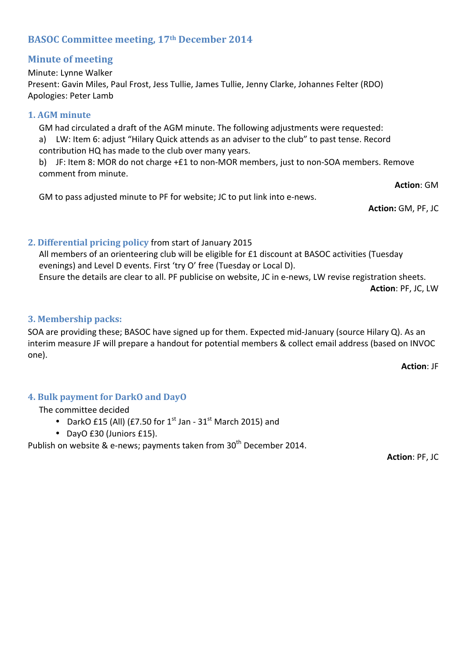# **BASOC Committee meeting, 17th December 2014**

## **Minute of meeting**

Minute: Lynne Walker Present: Gavin Miles, Paul Frost, Jess Tullie, James Tullie, Jenny Clarke, Johannes Felter (RDO) Apologies: Peter Lamb

### **1. AGM minute**

GM had circulated a draft of the AGM minute. The following adjustments were requested: a) LW: Item 6: adjust "Hilary Quick attends as an adviser to the club" to past tense. Record contribution HQ has made to the club over many years.

b) JF: Item 8: MOR do not charge +£1 to non-MOR members, just to non-SOA members. Remove comment from minute.

**Action: GM** 

GM to pass adjusted minute to PF for website; JC to put link into e-news.

**Action:** GM, PF, JC

# **2. Differential pricing policy from start of January 2015**

All members of an orienteering club will be eligible for  $£1$  discount at BASOC activities (Tuesday evenings) and Level D events. First 'try O' free (Tuesday or Local D). Ensure the details are clear to all. PF publicise on website, JC in e-news, LW revise registration sheets.

**Action: PF, JC, LW** 

## **3. Membership packs:**

SOA are providing these; BASOC have signed up for them. Expected mid-January (source Hilary Q). As an interim measure JF will prepare a handout for potential members & collect email address (based on INVOC one).

**Action: JF** 

## **4. Bulk payment for DarkO and DayO**

### The committee decided

- DarkO £15 (All) (£7.50 for  $1^{\text{st}}$  Jan  $31^{\text{st}}$  March 2015) and
- DayO £30 (Juniors £15).

Publish on website & e-news; payments taken from 30<sup>th</sup> December 2014.

**Action: PF, JC**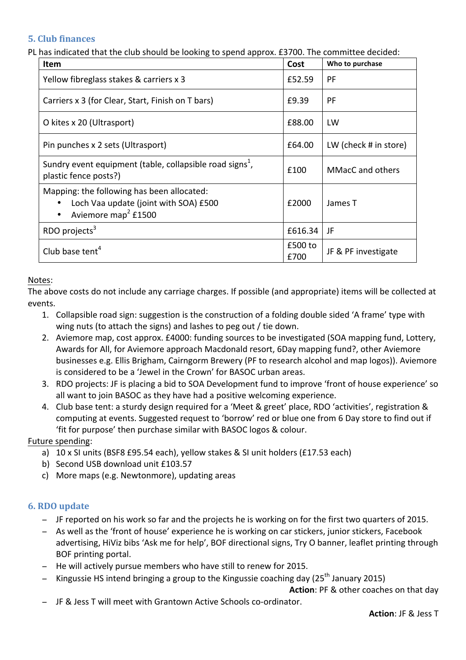### **5. Club finances**

PL has indicated that the club should be looking to spend approx. £3700. The committee decided:

| <b>Item</b>                                                                                                            | Cost            | Who to purchase         |  |
|------------------------------------------------------------------------------------------------------------------------|-----------------|-------------------------|--|
| Yellow fibreglass stakes & carriers x 3                                                                                | £52.59          | PF                      |  |
| Carriers x 3 (for Clear, Start, Finish on T bars)                                                                      | £9.39           | PF                      |  |
| O kites x 20 (Ultrasport)                                                                                              | £88.00          | LW                      |  |
| Pin punches x 2 sets (Ultrasport)                                                                                      |                 | LW (check # in store)   |  |
| Sundry event equipment (table, collapsible road signs <sup>1</sup> ,<br>plastic fence posts?)                          | £100            | <b>MMacC</b> and others |  |
| Mapping: the following has been allocated:<br>Loch Vaa update (joint with SOA) £500<br>Aviemore map <sup>2</sup> £1500 |                 | James T                 |  |
| RDO projects $3$                                                                                                       | £616.34         | JF                      |  |
| Club base tent <sup>4</sup>                                                                                            | £500 to<br>£700 | JF & PF investigate     |  |

#### Notes:

The above costs do not include any carriage charges. If possible (and appropriate) items will be collected at events.

- 1. Collapsible road sign: suggestion is the construction of a folding double sided 'A frame' type with wing nuts (to attach the signs) and lashes to peg out / tie down.
- 2. Aviemore map, cost approx. £4000: funding sources to be investigated (SOA mapping fund, Lottery, Awards for All, for Aviemore approach Macdonald resort, 6Day mapping fund?, other Aviemore businesses e.g. Ellis Brigham, Cairngorm Brewery (PF to research alcohol and map logos)). Aviemore is considered to be a 'Jewel in the Crown' for BASOC urban areas.
- 3. RDO projects: JF is placing a bid to SOA Development fund to improve 'front of house experience' so all want to join BASOC as they have had a positive welcoming experience.
- 4. Club base tent: a sturdy design required for a 'Meet & greet' place, RDO 'activities', registration & computing at events. Suggested request to 'borrow' red or blue one from 6 Day store to find out if 'fit for purpose' then purchase similar with BASOC logos & colour.

### Future spending:

- a) 10 x SI units (BSF8 £95.54 each), yellow stakes & SI unit holders (£17.53 each)
- b) Second USB download unit £103.57
- c) More maps (e.g. Newtonmore), updating areas

### **6. RDO update**

- − JF reported on his work so far and the projects he is working on for the first two quarters of 2015.
- − As well as the 'front of house' experience he is working on car stickers, junior stickers, Facebook advertising, HiViz bibs 'Ask me for help', BOF directional signs, Try O banner, leaflet printing through BOF printing portal.
- − He will actively pursue members who have still to renew for 2015.
- − Kingussie HS intend bringing a group to the Kingussie coaching day (25<sup>th</sup> January 2015)

**Action:** PF & other coaches on that day

− JF & Jess T will meet with Grantown Active Schools co-ordinator.